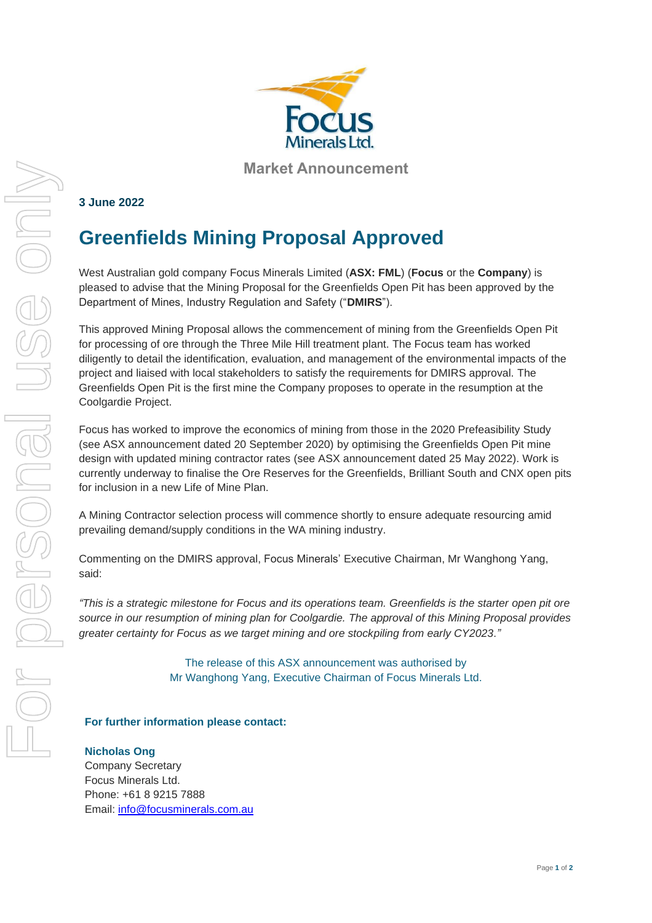

**Market Announcement**

# **3 June 2022**

# **Greenfields Mining Proposal Approved**

West Australian gold company Focus Minerals Limited (**ASX: FML**) (**Focus** or the **Company**) is pleased to advise that the Mining Proposal for the Greenfields Open Pit has been approved by the Department of Mines, Industry Regulation and Safety ("**DMIRS**").

This approved Mining Proposal allows the commencement of mining from the Greenfields Open Pit for processing of ore through the Three Mile Hill treatment plant. The Focus team has worked diligently to detail the identification, evaluation, and management of the environmental impacts of the project and liaised with local stakeholders to satisfy the requirements for DMIRS approval. The Greenfields Open Pit is the first mine the Company proposes to operate in the resumption at the Coolgardie Project.

Focus has worked to improve the economics of mining from those in the 2020 Prefeasibility Study (see ASX announcement dated 20 September 2020) by optimising the Greenfields Open Pit mine design with updated mining contractor rates (see ASX announcement dated 25 May 2022). Work is currently underway to finalise the Ore Reserves for the Greenfields, Brilliant South and CNX open pits for inclusion in a new Life of Mine Plan.

A Mining Contractor selection process will commence shortly to ensure adequate resourcing amid prevailing demand/supply conditions in the WA mining industry.

Commenting on the DMIRS approval, Focus Minerals' Executive Chairman, Mr Wanghong Yang, said:

*"This is a strategic milestone for Focus and its operations team. Greenfields is the starter open pit ore source in our resumption of mining plan for Coolgardie. The approval of this Mining Proposal provides greater certainty for Focus as we target mining and ore stockpiling from early CY2023."*

> The release of this ASX announcement was authorised by Mr Wanghong Yang, Executive Chairman of Focus Minerals Ltd.

## **For further information please contact:**

### **Nicholas Ong**

Company Secretary Focus Minerals Ltd. Phone: +61 8 9215 7888 Email: [info@focusminerals.com.au](mailto:info@focusminerals.com.au)